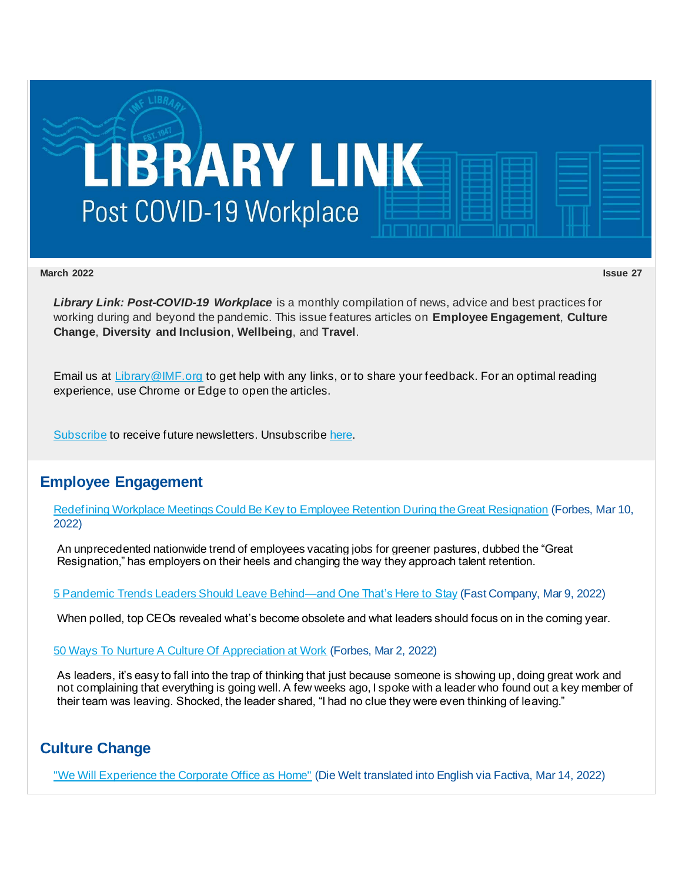

**March 2022 Issue 27**

*Library Link: Post-COVID-19 Workplace* is a monthly compilation of news, advice and best practices for working during and beyond the pandemic. This issue features articles on **Employee Engagement**, **Culture Change**, **Diversity and Inclusion**, **Wellbeing**, and **Travel**.

Email us at [Library@IMF.org](mailto:Library@IMF.org) to get help with any links, or to share your feedback. For an optimal reading experience, use Chrome or Edge to open the articles.

[Subscribe](http://t.imfconnect.imf.org/r/?id=h7251a9,346f89a,34765b6&e=cDE9JTQwMkt0Y2hWNXlxd05kWTNfSmZfMVM5SkE1enNkQlZJbjFGNFE1c2VGcnh3WF9GNG9FVHUtV2RCZXdhV29NRG5yUGJVcWNzUnVBbFBmRjE0RlNjdWowa3Y4YWIxVQ&s=zLt0CxEUxCj9agLp5cNRI4lCJpyQ1DFYCgdeVaB9UAE) to receive future newsletters. Unsubscrib[e here.](http://t.imfconnect.imf.org/r/?id=h7251a9,346f89a,34765b7&e=cDE9JTQwMkt0Y2hWNXlxd05kWTNfSmZfMVM5SkE1enNkQlZJbjFGNFE1c2VGcnh3WF9GNG9FVHUtV2RCZXdhV29NRG5yUGJVcWNzUnVBbFBmRjE0RlNjdWowa3Y4YWIxVQ&s=ycszuwNNLbBGJ-o74EWQWY1Y6xCv_v7PF9tZvq1y2xE)

## **Employee Engagement**

[Redefining Workplace Meetings Could Be Key to Employee Retention During the Great Resignation](http://t.imfconnect.imf.org/r/?id=h7251a9,346f89a,34765b8) (Forbes, Mar 10, 2022)

An unprecedented nationwide trend of employees vacating jobs for greener pastures, dubbed the "Great Resignation," has employers on their heels and changing the way they approach talent retention.

[5 Pandemic Trends Leaders Should Leave Behind—and One That's Here to Stay](http://t.imfconnect.imf.org/r/?id=h7251a9,346f89a,34765b9) (Fast Company, Mar 9, 2022)

When polled, top CEOs revealed what's become obsolete and what leaders should focus on in the coming year.

[50 Ways To Nurture A Culture Of Appreciation at Work](http://t.imfconnect.imf.org/r/?id=h7251a9,346f89a,34765ba) (Forbes, Mar 2, 2022)

As leaders, it's easy to fall into the trap of thinking that just because someone is showing up, doing great work and not complaining that everything is going well. A few weeks ago, I spoke with a leader who found out a key member of their team was leaving. Shocked, the leader shared, "I had no clue they were even thinking of leaving."

# **Culture Change**

["We Will Experience the Corporate Office as Home"](http://t.imfconnect.imf.org/r/?id=h7251a9,346f89a,34765bb) (Die Welt translated into English via Factiva, Mar 14, 2022)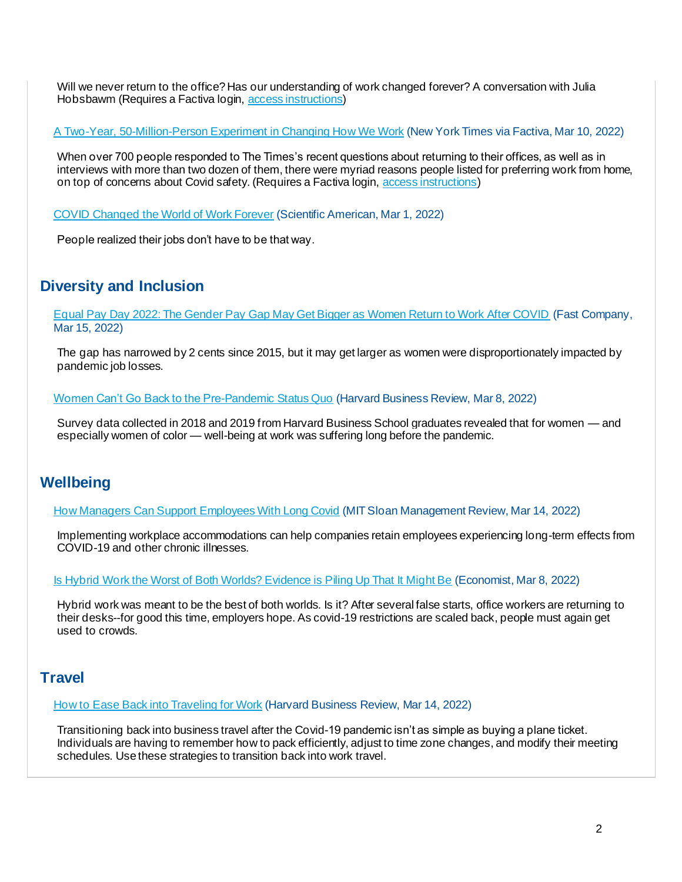Will we never return to the office? Has our understanding of work changed forever? A conversation with Julia Hobsbawm (Requires a Factiva login, [access instructions](http://t.imfconnect.imf.org/r/?id=h7251a9,346f89a,34765bc))

A Two-Year, [50-Million-Person Experiment in Changing How We Work](http://t.imfconnect.imf.org/r/?id=h7251a9,346f89a,34765bd) (New York Times via Factiva, Mar 10, 2022)

When over 700 people responded to The Times's recent questions about returning to their offices, as well as in interviews with more than two dozen of them, there were myriad reasons people listed for preferring work from home, on top of concerns about Covid safety. (Requires a Factiva login, [access instructions](http://t.imfconnect.imf.org/r/?id=h7251a9,346f89a,34765be))

[COVID Changed the World of Work Forever](http://t.imfconnect.imf.org/r/?id=h7251a9,346f89a,34765bf) (Scientific American, Mar 1, 2022)

People realized their jobs don't have to be that way.

#### **Diversity and Inclusion**

[Equal Pay Day 2022: The Gender Pay Gap May Get Bigger as Women Return to Work After COVID](http://t.imfconnect.imf.org/r/?id=h7251a9,346f89a,34765c0) (Fast Company, Mar 15, 2022)

The gap has narrowed by 2 cents since 2015, but it may get larger as women were disproportionately impacted by pandemic job losses.

[Women Can't Go Back to the Pre-Pandemic Status Quo](http://t.imfconnect.imf.org/r/?id=h7251a9,346f89a,34765c1) (Harvard Business Review, Mar 8, 2022)

Survey data collected in 2018 and 2019 from Harvard Business School graduates revealed that for women — and especially women of color — well-being at work was suffering long before the pandemic.

### **Wellbeing**

[How Managers Can Support Employees With Long Covid](http://t.imfconnect.imf.org/r/?id=h7251a9,346f89a,34765c2) (MIT Sloan Management Review, Mar 14, 2022)

Implementing workplace accommodations can help companies retain employees experiencing long-term effects from COVID-19 and other chronic illnesses.

[Is Hybrid Work the Worst of Both Worlds? Evidence is Piling Up That It Might Be](http://t.imfconnect.imf.org/r/?id=h7251a9,346f89a,34765c3) (Economist, Mar 8, 2022)

Hybrid work was meant to be the best of both worlds. Is it? After several false starts, office workers are returning to their desks--for good this time, employers hope. As covid-19 restrictions are scaled back, people must again get used to crowds.

### **Travel**

[How to Ease Back into Traveling for Work](http://t.imfconnect.imf.org/r/?id=h7251a9,346f89a,34765c4) (Harvard Business Review, Mar 14, 2022)

Transitioning back into business travel after the Covid-19 pandemic isn't as simple as buying a plane ticket. Individuals are having to remember how to pack efficiently, adjust to time zone changes, and modify their meeting schedules. Use these strategies to transition back into work travel.